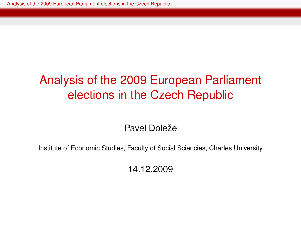Pavel Doležel

<span id="page-0-0"></span>Institute of Economic Studies, Faculty of Social Sciencies, Charles University

14.12.2009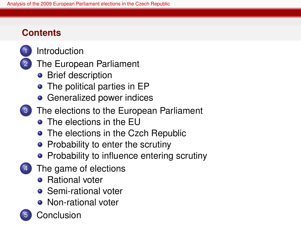# **Contents**



**[Introduction](#page-2-0)** 

- [The European Parliament](#page-3-0)
	- **•** [Brief description](#page-3-0)
	- [The political parties in EP](#page-7-0)
	- [Generalized power indices](#page-9-0)
- [The elections to the European Parliament](#page-12-0)
	- **•** [The elections in the EU](#page-12-0)
	- [The elections in the Czch Republic](#page-13-0)
	- [Probability to enter the scrutiny](#page-15-0)
	- [Probability to influence entering scrutiny](#page-23-0)
- [The game of elections](#page-27-0)
	- **•** [Rational voter](#page-28-0)
	- **•** [Semi-rational voter](#page-29-0)
	- [Non-rational voter](#page-30-0)
- [Conclusion](#page-31-0)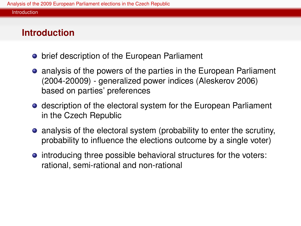#### Introduction

# **Introduction**

- **•** brief description of the European Parliament
- analysis of the powers of the parties in the European Parliament (2004-20009) - generalized power indices (Aleskerov 2006) based on parties' preferences
- **•** description of the electoral system for the European Parliament in the Czech Republic
- analysis of the electoral system (probability to enter the scrutiny, probability to influence the elections outcome by a single voter)
- <span id="page-2-0"></span>**•** introducing three possible behavioral structures for the voters: rational, semi-rational and non-rational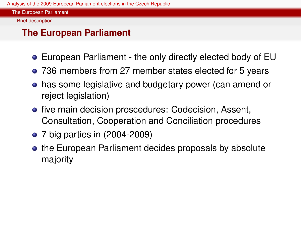Brief description

# **The European Parliament**

- European Parliament the only directly elected body of EU
- 736 members from 27 member states elected for 5 years
- has some legislative and budgetary power (can amend or reject legislation)
- **•** five main decision proscedures: Codecision, Assent, Consultation, Cooperation and Conciliation procedures
- 7 big parties in (2004-2009)
- <span id="page-3-0"></span>• the European Parliament decides proposals by absolute majority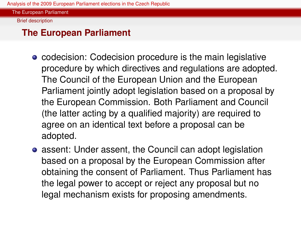The European Parliament

Brief description

### **The European Parliament**

- codecision: Codecision procedure is the main legislative procedure by which directives and regulations are adopted. The Council of the European Union and the European Parliament jointly adopt legislation based on a proposal by the European Commission. Both Parliament and Council (the latter acting by a qualified majority) are required to agree on an identical text before a proposal can be adopted.
- **•** assent: Under assent, the Council can adopt legislation based on a proposal by the European Commission after obtaining the consent of Parliament. Thus Parliament has the legal power to accept or reject any proposal but no legal mechanism exists for proposing amendments.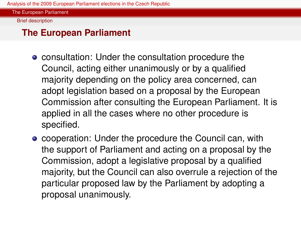The European Parliament

Brief description

### **The European Parliament**

- **consultation: Under the consultation procedure the** Council, acting either unanimously or by a qualified majority depending on the policy area concerned, can adopt legislation based on a proposal by the European Commission after consulting the European Parliament. It is applied in all the cases where no other procedure is specified.
- cooperation: Under the procedure the Council can, with the support of Parliament and acting on a proposal by the Commission, adopt a legislative proposal by a qualified majority, but the Council can also overrule a rejection of the particular proposed law by the Parliament by adopting a proposal unanimously.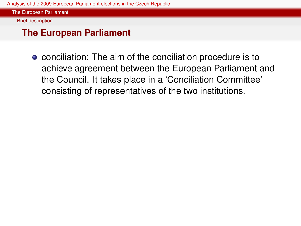The European Parliament

Brief description

#### **The European Parliament**

**•** conciliation: The aim of the conciliation procedure is to achieve agreement between the European Parliament and the Council. It takes place in a 'Conciliation Committee' consisting of representatives of the two institutions.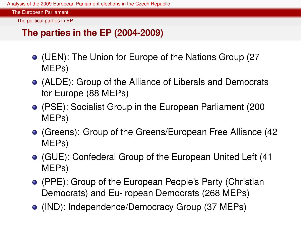The European Parliament

The political parties in EP

# **The parties in the EP (2004-2009)**

- (UEN): The Union for Europe of the Nations Group (27 MEPs)
- (ALDE): Group of the Alliance of Liberals and Democrats for Europe (88 MEPs)
- (PSE): Socialist Group in the European Parliament (200 MEPs)
- (Greens): Group of the Greens/European Free Alliance (42 MEPs)
- (GUE): Confederal Group of the European United Left (41 MEPs)
- (PPE): Group of the European People's Party (Christian Democrats) and Eu- ropean Democrats (268 MEPs)
- <span id="page-7-0"></span>(IND): Independence/Democracy Group (37 MEPs)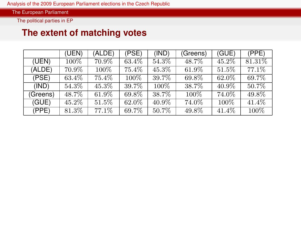The political parties in EP

#### **The extent of matching votes**

|          | (UEN)   | (ALDE)   | (PSE) | (IND) | (Greens) | (GUE) | (PPE)   |
|----------|---------|----------|-------|-------|----------|-------|---------|
| (UEN)    | $100\%$ | 70.9%    | 63.4% | 54.3% | 48.7%    | 45.2% | 81.31\% |
| (ALDE)   | 70.9%   | $100\%$  | 75.4% | 45.3% | 61.9%    | 51.5% | 77.1\%  |
| (PSE)    | 63.4%   | 75.4%    | 100%  | 39.7% | 69.8%    | 62.0% | 69.7%   |
| (IND)    | 54.3%   | 45.3%    | 39.7% | 100\% | 38.7%    | 40.9% | 50.7%   |
| (Greens) | 48.7%   | 61.9%    | 69.8% | 38.7% | 100\%    | 74.0% | 49.8%   |
| (GUE)    | 45.2%   | $51.5\%$ | 62.0% | 40.9% | 74.0%    | 100%  | 41.4%   |
| (PPE)    | 81.3%   | 77.1%    | 69.7% | 50.7% | 49.8%    | 41.4% | $100\%$ |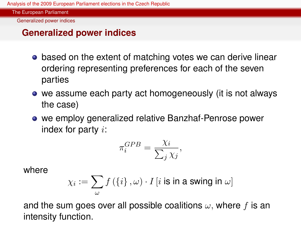Generalized power indices

# **Generalized power indices**

- based on the extent of matching votes we can derive linear ordering representing preferences for each of the seven parties
- we assume each party act homogeneously (it is not always the case)
- we employ generalized relative Banzhaf-Penrose power index for party  $i$ :

$$
\pi_i^{GPB} = \frac{\chi_i}{\sum_j \chi_j},
$$

where

$$
\chi_{i}:=\sum_{\omega}f\left(\left\{ i\right\} ,\omega\right)\cdot I\left[i\text{ is in a swing in }\omega\right]
$$

<span id="page-9-0"></span>and the sum goes over all possible coalitions  $\omega$ , where f is an intensity function.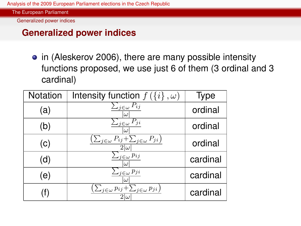Generalized power indices

#### **Generalized power indices**

• in (Aleskerov 2006), there are many possible intensity functions proposed, we use just 6 of them (3 ordinal and 3 cardinal)

| Notation | Intensity function $f(\lbrace i \rbrace, \omega)$                           | Type     |
|----------|-----------------------------------------------------------------------------|----------|
| (a)      | $\sum_{j\in\omega} P_{ij}$                                                  | ordinal  |
| (b)      | $\sum_{j\in\omega} P_{ji}$<br>$\omega$                                      | ordinal  |
| (c)      | $\left(\sum_{j\in\omega}P_{ij}+\sum_{j\in\omega}P_{ji}\right)$              | ordinal  |
| (d)      | $\sum_{j\in\omega} p_{ij}$<br>$\omega$                                      | cardinal |
| (e)      | $\sum_{j\in\omega}p_{ji}$<br>$\omega$                                       | cardinal |
| T)       | $\left(\sum_{j\in\omega}p_{ij}+\sum_{j\in\omega}p_{ji}\right)$<br>$2\omega$ | cardinal |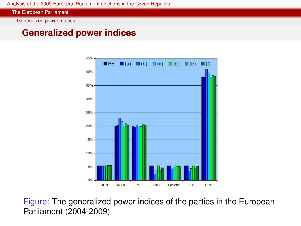The European Parliament

Generalized power indices

#### **Generalized power indices**



Figure: The generalized power indices of the parties in the European Parliament (2004-2009)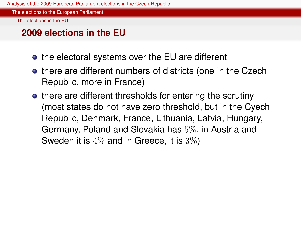The elections to the European Parliament

The elections in the EU

#### **2009 elections in the EU**

- the electoral systems over the EU are different
- there are different numbers of districts (one in the Czech Republic, more in France)
- <span id="page-12-0"></span>• there are different thresholds for entering the scrutiny (most states do not have zero threshold, but in the Cyech Republic, Denmark, France, Lithuania, Latvia, Hungary, Germany, Poland and Slovakia has 5%, in Austria and Sweden it is 4% and in Greece, it is 3%)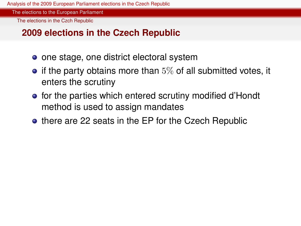The elections to the European Parliament

The elections in the Czch Republic

#### **2009 elections in the Czech Republic**

- one stage, one district electoral system
- $\bullet$  if the party obtains more than  $5\%$  of all submitted votes, it enters the scrutiny
- for the parties which entered scrutiny modified d'Hondt method is used to assign mandates
- <span id="page-13-0"></span>• there are 22 seats in the EP for the Czech Republic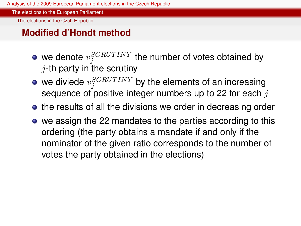The elections to the European Parliament

The elections in the Czch Republic

#### **Modified d'Hondt method**

- we denote  $v_{j}^{SCRUTINY}$  the number of votes obtained by  $j$ -th party in the scrutiny
- we diviede  $v_{j}^{SCRU TINY}$  by the elements of an increasing sequence of positive integer numbers up to 22 for each  $j$
- the results of all the divisions we order in decreasing order
- we assign the 22 mandates to the parties according to this ordering (the party obtains a mandate if and only if the nominator of the given ratio corresponds to the number of votes the party obtained in the elections)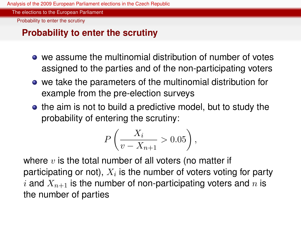The elections to the European Parliament

Probability to enter the scrutiny

# **Probability to enter the scrutiny**

- we assume the multinomial distribution of number of votes assigned to the parties and of the non-participating voters
- we take the parameters of the multinomial distribution for example from the pre-election surveys
- the aim is not to build a predictive model, but to study the probability of entering the scrutiny:

$$
P\left(\frac{X_i}{v - X_{n+1}} > 0.05\right),\,
$$

<span id="page-15-0"></span>where  $v$  is the total number of all voters (no matter if participating or not),  $X_i$  is the number of voters voting for party i and  $X_{n+1}$  is the number of non-participating voters and n is the number of parties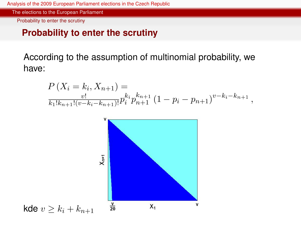The elections to the European Parliament

Probability to enter the scrutiny

#### **Probability to enter the scrutiny**

According to the assumption of multinomial probability, we have:

$$
P(X_i = k_i, X_{n+1}) = \frac{v!}{k_1!k_{n+1}!(v-k_i-k_{n+1})!} p_i^{k_i} p_{n+1}^{k_{n+1}} (1 - p_i - p_{n+1})^{v-k_i-k_{n+1}},
$$

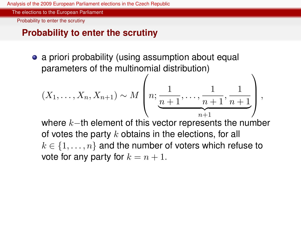The elections to the European Parliament

Probability to enter the scrutiny

### **Probability to enter the scrutiny**

• a priori probability (using assumption about equal parameters of the multinomial distribution)

$$
(X_1, \ldots, X_n, X_{n+1}) \sim M\left(n; \underbrace{1}{n+1}, \ldots, \underbrace{1}{n+1}, \underbrace{1}_{n+1})\right),
$$
  
where  $k$ —th element of this vector represents the number

where  $k-$ th element of this vector represents the number of votes the party  $k$  obtains in the elections, for all  $k \in \{1, \ldots, n\}$  and the number of voters which refuse to vote for any party for  $k = n + 1$ .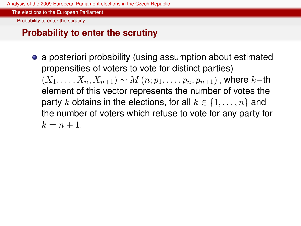The elections to the European Parliament

Probability to enter the scrutiny

# **Probability to enter the scrutiny**

• a posteriori probability (using assumption about estimated propensities of voters to vote for distinct parties)  $(X_1, \ldots, X_n, X_{n+1}) \sim M(n; p_1, \ldots, p_n, p_{n+1})$ , where k–th element of this vector represents the number of votes the party k obtains in the elections, for all  $k \in \{1, \ldots, n\}$  and the number of voters which refuse to vote for any party for  $k = n + 1.$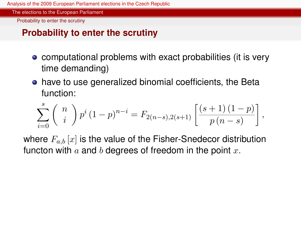The elections to the European Parliament

Probability to enter the scrutiny

# **Probability to enter the scrutiny**

- **•** computational problems with exact probabilities (it is very time demanding)
- have to use generalized binomial coefficients, the Beta function:

$$
\sum_{i=0}^{s} \binom{n}{i} p^{i} (1-p)^{n-i} = F_{2(n-s),2(s+1)} \left[ \frac{(s+1)(1-p)}{p(n-s)} \right],
$$

where  $F_{a,b}[x]$  is the value of the Fisher-Snedecor distribution functon with  $a$  and  $b$  degrees of freedom in the point  $x$ .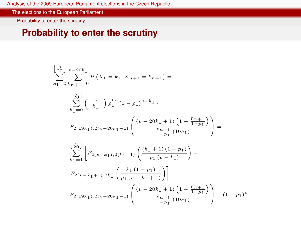The elections to the European Parliament

Probability to enter the scrutiny

## **Probability to enter the scrutiny**

$$
\begin{split} &\left[\frac{v}{20}\right] \, v^{-20k_1} \\ &\sum_{k_1=0} \, \sum_{k_{n+1}=0} P\left(X_1 = k_1, X_{n+1} = k_{n+1}\right) = \\ &\left[\frac{v}{20}\right] \\ &\sum_{k_1=0} \, \left(\begin{array}{c} v \\ k_1 \end{array}\right) p_1^{k_1} \left(1 - p_1\right)^{v-k_1} \,. \\ &\left. F_{2(19k_1),2(v-20k_1+1)} \left(\frac{(v-20k_1+1)\left(1-\frac{p_{n+1}}{1-p_1}\right)}{\frac{p_{n+1}}{1-p_1} \left(19k_1\right)}\right)\right. = \\ &\left. \left. \sum_{k_1=1} \, \left[F_{2(v-k_1),2(k_1+1)} \left(\frac{(k_1+1)\left(1-p_1\right)}{p_1 \left(v-k_1\right)}\right) - F_{2(v-k_1+1),2k_1} \left(\frac{k_1\left(1-p_1\right)}{p_1 \left(v-k_1+1\right)}\right)\right]\right]. \\ &\left. F_{2(19k_1),2(v-20k_1+1)} \left(\frac{(v-20k_1+1)\left(1-\frac{p_{n+1}}{1-p_1}\right)}{\frac{p_{n+1}}{1-p_1} \left(19k_1\right)}\right) + (1-p_1)^v \right. \end{split}
$$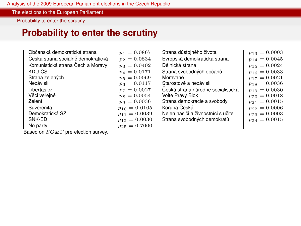The elections to the European Parliament

Probability to enter the scrutiny

### **Probability to enter the scrutiny**

| Občanská demokratická strana       | $p_1 = 0.0867$    | Strana důstojného života             | $p_{13} = 0.0003$ |
|------------------------------------|-------------------|--------------------------------------|-------------------|
| Česká strana sociálně demokratická | $p_2 = 0.0834$    | Evropská demokratická strana         | $p_{14} = 0.0045$ |
| Komunistická strana Čech a Moravy  | $p_3 = 0.0402$    | Dělnická strana                      | $p_{15} = 0.0024$ |
| KDU-CSL                            | $p_4 = 0.0171$    | Strana svobodných občanů             | $p_{16} = 0.0033$ |
| Strana zelených                    | $p_5 = 0.0069$    | Moravané                             | $p_{17} = 0.0021$ |
| Nezávislí                          | $p_6 = 0.0117$    | Starostové a nezávislí               | $p_{18} = 0.0036$ |
| Libertas.cz                        | $p_7 = 0.0027$    | Česká strana národně socialistická   | $p_{19} = 0.0030$ |
| Věci veřejné                       | $p_8 = 0.0054$    | Volte Pravý Blok                     | $p_{20} = 0.0018$ |
| Zelení                             | $p_9 = 0.0036$    | Strana demokracie a svobody          | $p_{21} = 0.0015$ |
| Suverenita                         | $p_{10} = 0.0105$ | Koruna Česká                         | $p_{22} = 0.0006$ |
| Demokratická SZ                    | $p_{11} = 0.0039$ | Nejen hasiči a živnostníci s učiteli | $p_{23} = 0.0003$ |
| SNK-ED                             | $p_{12} = 0.0030$ | Strana svobodných demokratů          | $p_{24} = 0.0015$ |
| No party                           | $p_{25} = 0.7000$ |                                      |                   |

Based on  $SC\&C$  pre-election survey.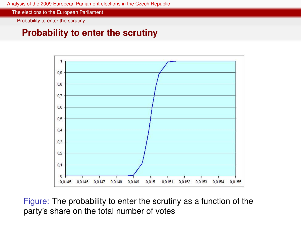The elections to the European Parliament

Probability to enter the scrutiny

#### **Probability to enter the scrutiny**



Figure: The probability to enter the scrutiny as a function of the party's share on the total number of votes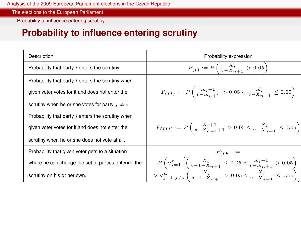The elections to the European Parliament

Probability to influence entering scrutiny

# **Probability to influence entering scrutiny**

<span id="page-23-0"></span>

| Description                                          | Probability expression                                                                                                             |
|------------------------------------------------------|------------------------------------------------------------------------------------------------------------------------------------|
| Probability that party i enters the scrutiny.        | $P_{(I)} := P\left(\frac{X_i}{v - X_{n+1}} > 0.05\right)$                                                                          |
| Probability that party $i$ enters the scrutiny when  |                                                                                                                                    |
| given voter votes for it and does not enter the      | $P_{(II)} := P\left(\frac{X_i+1}{v-X_{n+1}} > 0.05 \wedge \frac{X_i}{v-X_{n+1}} \le 0.05\right)$                                   |
| scrutiny when he or she votes for party $i \neq i$ . |                                                                                                                                    |
| Probability that party $i$ enters the scrutiny when  |                                                                                                                                    |
| given voter votes for it and does not enter the      | $P_{(III)} := P\left(\frac{X_i+1}{v-X_{n+1}+1} > 0.05 \wedge \frac{X_i}{v-X_{n+1}} \le 0.05\right)$                                |
| scrutiny when he or she does not vote at all.        |                                                                                                                                    |
| Probability that given voter gets to a situation     | $P_{(IV)} :=$                                                                                                                      |
| where he can change the set of parties entering the  | $P\left(\vee_{i=1}^{n}\left[\left(\frac{X_{i}}{v-1-X_{n+1}}\leq 0.05 \wedge \frac{X_{i}+1}{v-X_{n+1}} > 0.05\right)\right]\right)$ |
| scrutiny on his or her own.                          | $\lor \lor_{j=1,j\neq i}^{n}\left(\frac{x_{j}}{v-1-X_{n+1}}>0.05 \land \frac{x_{j}}{v-X_{n+1}}\leq 0.05\right)\bigg  \bigg $       |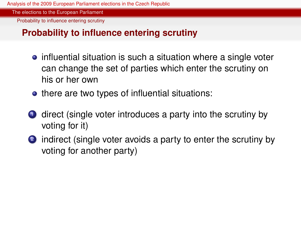The elections to the European Parliament

Probability to influence entering scrutiny

## **Probability to influence entering scrutiny**

- **•** influential situation is such a situation where a single voter can change the set of parties which enter the scrutiny on his or her own
- there are two types of influential situations:
- **1** direct (single voter introduces a party into the scrutiny by voting for it)
- 2 indirect (single voter avoids a party to enter the scrutiny by voting for another party)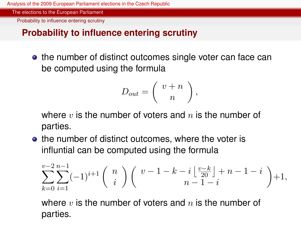The elections to the European Parliament

Probability to influence entering scrutiny

# **Probability to influence entering scrutiny**

• the number of distinct outcomes single voter can face can be computed using the formula

$$
D_{out} = \left(\begin{array}{c} v+n \\ n \end{array}\right),
$$

where  $v$  is the number of voters and  $n$  is the number of parties.

• the number of distinct outcomes, where the voter is influntial can be computed using the formula

$$
\sum_{k=0}^{v-2} \sum_{i=1}^{n-1} (-1)^{i+1} \binom{n}{i} \binom{v-1-k-i}{n-1-i} + n-1-i + 1,
$$

where  $v$  is the number of voters and  $n$  is the number of parties.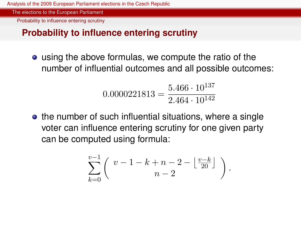The elections to the European Parliament

Probability to influence entering scrutiny

# **Probability to influence entering scrutiny**

using the above formulas, we compute the ratio of the number of influential outcomes and all possible outcomes:

$$
0.0000221813 = \frac{5.466 \cdot 10^{137}}{2.464 \cdot 10^{142}}
$$

• the number of such influential situations, where a single voter can influence entering scrutiny for one given party can be computed using formula:

$$
\sum_{k=0}^{v-1} \left( \begin{array}{c} v-1-k+n-2-\left\lfloor \frac{v-k}{20} \right\rfloor \\ n-2 \end{array} \right).
$$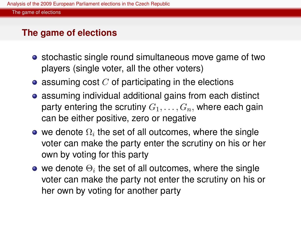### **The game of elections**

- stochastic single round simultaneous move game of two players (single voter, all the other voters)
- $\bullet$  assuming cost C of participating in the elections
- assuming individual additional gains from each distinct party entering the scrutiny  $G_1, \ldots, G_n$ , where each gain can be either positive, zero or negative
- we denote  $\Omega_i$  the set of all outcomes, where the single voter can make the party enter the scrutiny on his or her own by voting for this party
- <span id="page-27-0"></span>we denote  $\Theta_i$  the set of all outcomes, where the single voter can make the party not enter the scrutiny on his or her own by voting for another party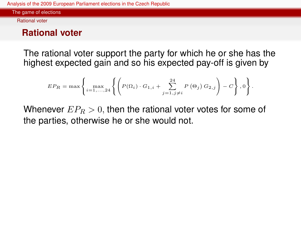Rational voter

# **Rational voter**

The rational voter support the party for which he or she has the highest expected gain and so his expected pay-off is given by

$$
EP_R=\max\left\{\max_{i=1,...,24}\left\{\left(P(\Omega_i)\cdot G_{1,i}+\sum_{j=1,j\neq i}^{24}P\left(\Theta_j\right)G_{2,j}\right)-C\right\},0\right\}.
$$

<span id="page-28-0"></span>Whenever  $EP_R > 0$ , then the rational voter votes for some of the parties, otherwise he or she would not.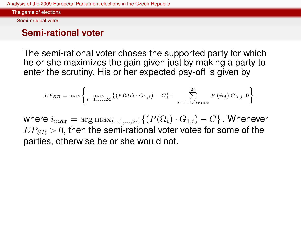Semi-rational voter

# **Semi-rational voter**

The semi-rational voter choses the supported party for which he or she maximizes the gain given just by making a party to enter the scrutiny. His or her expected pay-off is given by

$$
EP_{SR} = \max \left\{ \max_{i=1,...,24} \left\{ (P(\Omega_i) \cdot G_{1,i}) - C \right\} + \sum_{j=1,j \neq i_{max}}^{24} P(\Theta_j) G_{2,j}, 0 \right\},\,
$$

<span id="page-29-0"></span>where  $i_{max} = \arg \max_{i=1,...,24} \left\{ (P(\Omega_i) \cdot G_{1,i}) - C \right\}$ . Whenever  $E P_{SB} > 0$ , then the semi-rational voter votes for some of the parties, otherwise he or she would not.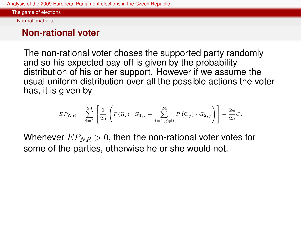Non-rational voter

# **Non-rational voter**

The non-rational voter choses the supported party randomly and so his expected pay-off is given by the probability distribution of his or her support. However if we assume the usual uniform distribution over all the possible actions the voter has, it is given by

$$
EP_{NR}=\sum_{i=1}^{24}\left[\frac{1}{25}\left(P(\Omega_i)\cdot G_{1,i}+\sum_{j=1,j\neq i}^{24}P\left(\Theta_j\right)\cdot G_{2,j}\right)\right]-\frac{24}{25}C.
$$

<span id="page-30-0"></span>Whenever  $EP_{NR} > 0$ , then the non-rational voter votes for some of the parties, otherwise he or she would not.